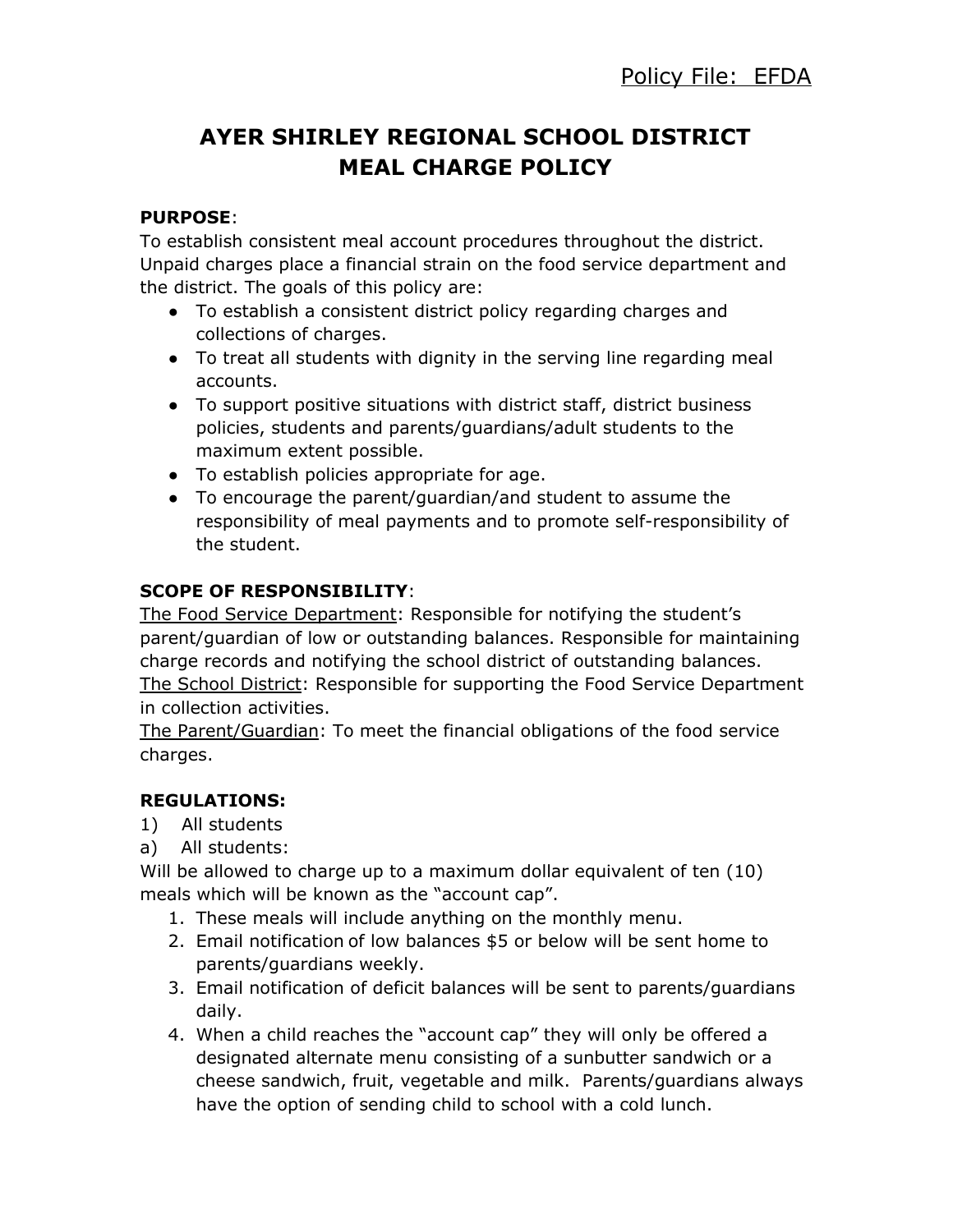# **AYER SHIRLEY REGIONAL SCHOOL DISTRICT MEAL CHARGE POLICY**

#### **PURPOSE**:

To establish consistent meal account procedures throughout the district. Unpaid charges place a financial strain on the food service department and the district. The goals of this policy are:

- To establish a consistent district policy regarding charges and collections of charges.
- To treat all students with dignity in the serving line regarding meal accounts.
- To support positive situations with district staff, district business policies, students and parents/guardians/adult students to the maximum extent possible.
- To establish policies appropriate for age.
- To encourage the parent/guardian/and student to assume the responsibility of meal payments and to promote self-responsibility of the student.

### **SCOPE OF RESPONSIBILITY**:

The Food Service Department: Responsible for notifying the student's parent/guardian of low or outstanding balances. Responsible for maintaining charge records and notifying the school district of outstanding balances. The School District: Responsible for supporting the Food Service Department in collection activities.

The Parent/Guardian: To meet the financial obligations of the food service charges.

# **REGULATIONS:**

- 1) All students
- a) All students:

Will be allowed to charge up to a maximum dollar equivalent of ten (10) meals which will be known as the "account cap".

- 1. These meals will include anything on the monthly menu.
- 2. Email notification of low balances \$5 or below will be sent home to parents/guardians weekly.
- 3. Email notification of deficit balances will be sent to parents/guardians daily.
- 4. When a child reaches the "account cap" they will only be offered a designated alternate menu consisting of a sunbutter sandwich or a cheese sandwich, fruit, vegetable and milk. Parents/guardians always have the option of sending child to school with a cold lunch.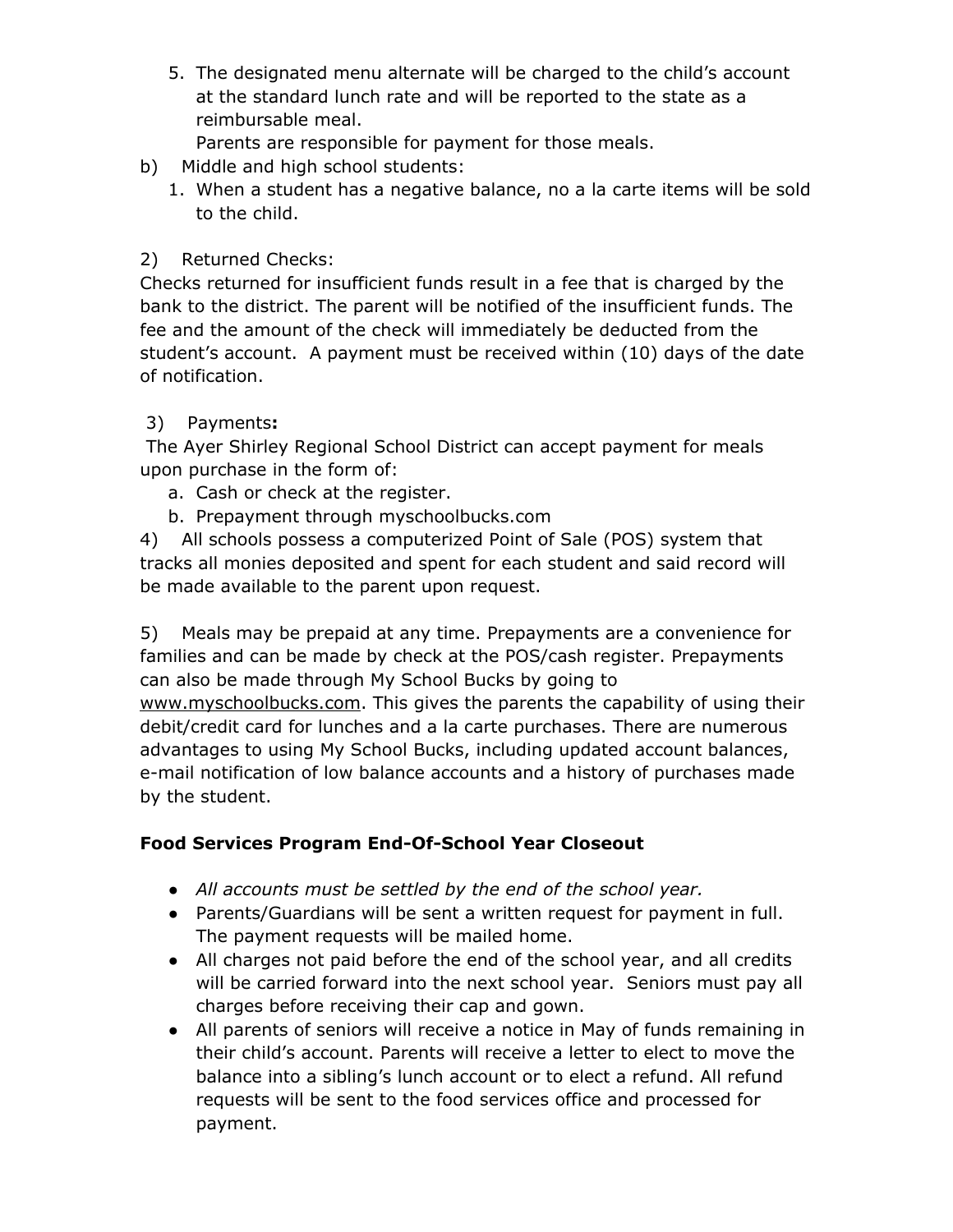5. The designated menu alternate will be charged to the child's account at the standard lunch rate and will be reported to the state as a reimbursable meal.

Parents are responsible for payment for those meals.

- b) Middle and high school students:
	- 1. When a student has a negative balance, no a la carte items will be sold to the child.

# 2) Returned Checks:

Checks returned for insufficient funds result in a fee that is charged by the bank to the district. The parent will be notified of the insufficient funds. The fee and the amount of the check will immediately be deducted from the student's account. A payment must be received within (10) days of the date of notification.

# 3) Payments**:**

The Ayer Shirley Regional School District can accept payment for meals upon purchase in the form of:

- a. Cash or check at the register.
- b. Prepayment through myschoolbucks.com

4) All schools possess a computerized Point of Sale (POS) system that tracks all monies deposited and spent for each student and said record will be made available to the parent upon request.

5) Meals may be prepaid at any time. Prepayments are a convenience for families and can be made by check at the POS/cash register. Prepayments can also be made through My School Bucks by going to www.myschoolbucks.com. This gives the parents the capability of using their debit/credit card for lunches and a la carte purchases. There are numerous advantages to using My School Bucks, including updated account balances, e-mail notification of low balance accounts and a history of purchases made by the student.

# **Food Services Program End-Of-School Year Closeout**

- *● All accounts must be settled by the end of the school year.*
- Parents/Guardians will be sent a written request for payment in full. The payment requests will be mailed home.
- All charges not paid before the end of the school year, and all credits will be carried forward into the next school year. Seniors must pay all charges before receiving their cap and gown.
- All parents of seniors will receive a notice in May of funds remaining in their child's account. Parents will receive a letter to elect to move the balance into a sibling's lunch account or to elect a refund. All refund requests will be sent to the food services office and processed for payment.